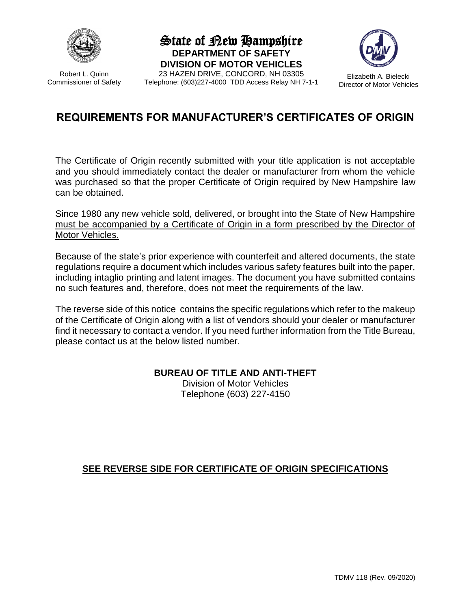

Robert L. Quinn Commissioner of Safety State of New Hampshire **DEPARTMENT OF SAFETY DIVISION OF MOTOR VEHICLES**





## **REQUIREMENTS FOR MANUFACTURER'S CERTIFICATES OF ORIGIN**

The Certificate of Origin recently submitted with your title application is not acceptable and you should immediately contact the dealer or manufacturer from whom the vehicle was purchased so that the proper Certificate of Origin required by New Hampshire law can be obtained.

Since 1980 any new vehicle sold, delivered, or brought into the State of New Hampshire must be accompanied by a Certificate of Origin in a form prescribed by the Director of Motor Vehicles.

Because of the state's prior experience with counterfeit and altered documents, the state regulations require a document which includes various safety features built into the paper, including intaglio printing and latent images. The document you have submitted contains no such features and, therefore, does not meet the requirements of the law.

The reverse side of this notice contains the specific regulations which refer to the makeup of the Certificate of Origin along with a list of vendors should your dealer or manufacturer find it necessary to contact a vendor. If you need further information from the Title Bureau, please contact us at the below listed number.

**BUREAU OF TITLE AND ANTI-THEFT**

Division of Motor Vehicles Telephone (603) 227-4150

#### **SEE REVERSE SIDE FOR CERTIFICATE OF ORIGIN SPECIFICATIONS**